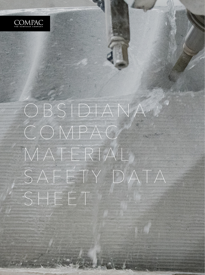

# OBSIDIANA COMPAC M AT E R I A L S A F E T Y D ATA

SHEET

1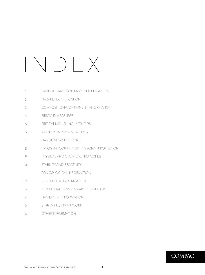# INDEX

| 1              | PRODUCT AND COMPANY IDENTIFICATION      |
|----------------|-----------------------------------------|
| $\overline{2}$ | <b>HAZARD IDENTIFICATION</b>            |
| 3              | COMPOSITION/COMPONENT INFORMATION       |
| 4              | <b>FIRST-AID MEASURES</b>               |
| 5              | FIRE EXTINGUISHING METHODS              |
| 6              | <b>ACCIDENTAL SPILL MEASURES</b>        |
| 7              | <b>HANDLING AND STORAGE</b>             |
| 8              | EXPOSURE CONTROLS/1 PERSONAL PROTECTION |
| 9              | PHYSICAL AND CHEMICAL PROPERTIES        |
| 10             | STABILITY AND REACTIVITY                |
| 11             | <b>TOXICOLOGICAL INFORMATION</b>        |
| 12             | <b>ECOLOGICAL INFORMATION</b>           |
| 13             | <b>CONSIDERATIONS ON WASTE PRODUCTS</b> |
| 14             | <b>TRANSPORT INFORMATION</b>            |
| 15             | STANDARDS FRAMEWORK                     |
| 16             | OTHER INFORMATION                       |
|                |                                         |

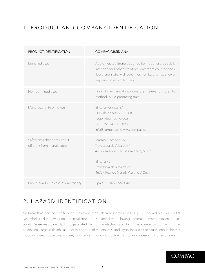## 1. PRODUCT AND COMPANY IDENTIFICATION

| PRODUCT IDENTIFICATION                                        | <b>COMPAC OBSIDIANA</b>                                                                                                                                                                                       |
|---------------------------------------------------------------|---------------------------------------------------------------------------------------------------------------------------------------------------------------------------------------------------------------|
| Identified uses                                               | Agglomerated Stone designed for indoor use. Specially<br>intended for kitchen worktops, bathroom countertopos,<br>floors and stairs, wall coverings, furniture, sinks, shower<br>trays and other similar uses |
| Non-permitted uses                                            | Do not mechanically process the material using a dry<br>method, avoid producing dust.                                                                                                                         |
| Manufacturer information                                      | Silicalia Portugal SA<br>EN Vale do feto 2205-304<br>Pego-Abrantes-Potugal<br>Tel: +351 241 830 020<br>info@compac.es // www.compac.es                                                                        |
| Safety data sheet provider (if<br>different from manufacturer | Marmol Compac SAU<br>Travessera de Albaida nº 1<br>46727 Real de Gandia (Valencia) Spain<br>Silicalia SL<br>Travessera de Albaida nº 1<br>46727 Real de Gandia (Valencia) Spain                               |
| Phone number in case of emergency                             | Spain: +34 91 562 0420                                                                                                                                                                                        |

## 2. HAZARD IDENTIFICATION

No hazards associated with finished Obsidiana products from Compac in CLP (EC) standard No. 1272/2008. Nevertheless, during work on and installation of this material the following information must be taken into account. Please read carefully. Dust generated during manufacturing contains crystalline silica SiO2 which may be inhaled. Large scale inhalation of this portion of mineral dust and crystalline silica can cause serious illnesses including pneumoconiosis, silicosis, lung cancer, chonic obstructive pulmonary disease and kidney disease.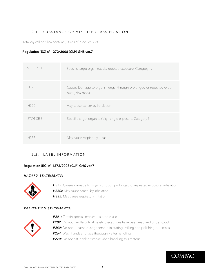### 2.1. SUBSTANCE OR MIXTURE CLASSIFICATION

Total crystalline silica content (SiO2 ) of product <7%

#### **Regulation (EC) nº 1272/2008 (CLP) GHS ver.7**

| STOT RE 1 | Specific target organ toxicity-repeted exposure. Category 1.                             |
|-----------|------------------------------------------------------------------------------------------|
| H372      | Causes Damage to organs (lungs) through prolonged or repeated expo-<br>sure (inhalation) |
| H350i     | May cause cancer by inhalation                                                           |
| STOT SE 3 | Specific target organ toxicity -single exposure. Category 3.                             |
| H335      | May cause respiratory irritation                                                         |

#### 2.2. LABEL INFORMATION

#### **Regulation (EC) nº 1272/2008 (CLP) GHS ver.7**

#### *HAZARD STATEMENTS:*



**H372:** Causes damage to organs through prolonged or repeated exposure (inhalation). **H350i:** May cause cancer by inhalation **H335:** May cause respiratory irritation

#### *PREVENTION STATEMENTS:*



**P201:** Obtain special instructions before use **P202:** Do not handle until all safety precautions have been read and understood **P260:** Do not breathe dust generated in cutting, milling and polishing processes. **P264:** Wash hands and face thoroughly after handling. **P270:** Do not eat, drink or smoke when handling this material.

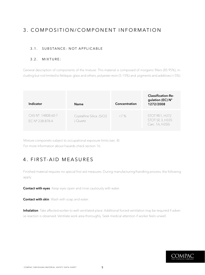## 3. COMPOSITION/COMPONENT INFORMATION

### 3.1. SUBSTANCE: NOT APPLICABLE

#### 3.2. MIXTURE:

General description of components of the mixture: This material is composed of inorganic fillers (85·95%), including but not limited to feldspar, glass and others, polyester resin (5-15%) and pigments and additives (<5%).

| Indicator                             | <b>Name</b>                        | Concentration | <b>Classification-Re-</b><br>gulation (EC) N°<br>1272/2008  |
|---------------------------------------|------------------------------------|---------------|-------------------------------------------------------------|
| CAS N°: 14808-60-7<br>EC N° 238-878-4 | Crystalline Silica (SiO2<br>Quartz | 27%           | STOT RE1, H372<br><b>STOT SE 3, H335</b><br>Carc. 1A, H350i |

Mixture componets subject to occupational exposure limits (sec. 8) For more Information about hazards check section 16.

## 4. FIRST-AID MEASURES

Finished material requires no special first-aid measures. During manufacturing/handling process, the following apply:

**Contact with eyes**: Keep eyes open and rinse cautiously with water.

**Contact with skin**: Wash with soap and water.

**Inhalation**: Take affected worker to well-ventilated place. Additional forced ventilation may be required if adverse reaction is observed. Ventilate work area thoroughly. Seek medical attention if worker feels unwell.

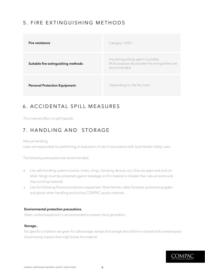## 5. FIRE EXTINGUISHING METHODS

| Fire resistance                       | Category: A2fls1                                                                                       |
|---------------------------------------|--------------------------------------------------------------------------------------------------------|
| Suitable fire-extinguishing methods:  | Any extinguishing agent is suitable.<br>Multi-purpose dry-powder fire extinguishers are<br>recommended |
| <b>Personal Protection Equipment:</b> | Depending on the fire zone.                                                                            |

## 6. ACCIDENTAL SPILL MEASURES

This material offers no spill hazards.

## 7. HANDLING AND STORAGE

Manual handling.

Users are responsible for performing an evaluation of risks in accordance with local Worker Safety Laws.

The following precautions are recommended:

- Use safe handling systems (cranes, hoists, slings, clamping devices, etc.) that are approved and certified. Slings must be protected against breakage as this material is sharper than natural stone and may cut sling materials.
	- Use the following Personal protection equipment. Wear helmet, safety footwear, protective goggles and gloves when handling and storing COMPAC quartz materials.

#### **Environmental protection precautions.**

Water cooled equipment is recommended to prevent dust generation.

#### **Storage..**

No specific conditions are given for safe storage, except that storage should be in a closed and covered space. Avoid strong impacts that might break the material

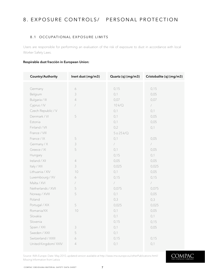## 8. EXPOSURE CONTROLS/ PERSONAL PROTECTION

#### 8.1 OCCUPATIONAL EXPOSURE LIMITS

Users are responsible for performing an evaluation of the risk of exposure to dust in accordance with local Worker Safety Laws.

#### **Respirable dust fracción in European Union:**

| Country/Authority   | Inert dust (mg/m3) | Quartz (q) (mg/m3) | Cristobalite (q) (mg/m3) |
|---------------------|--------------------|--------------------|--------------------------|
|                     |                    |                    |                          |
| Germany             | 6                  | 0,15               | 0,15                     |
| Belgium             | 3                  | 0,1                | 0,05                     |
| Bulgaria / III      | $\sqrt{ }$         | 0,07               | 0,07                     |
| Cyprus / IV         | $\sqrt{2}$         | 10 k/Q             | $\sqrt{2}$               |
| Czech Republic / V  |                    | 0,1                | 0,1                      |
| Denmark / VI        | 5                  | 0,1                | 0,05                     |
| Estonia             |                    | 0,1                | 0,05                     |
| Finland / VII       |                    | 0,2                | 0,1                      |
| France / VIII       |                    | 5025k/Q            |                          |
| France / IX         | 5                  | 0,1                | 0,05                     |
| Germany / X         | $\mathfrak{Z}$     | $\sqrt{2}$         | $\overline{1}$           |
| Greece / XI         | 5                  | 0,1                | 0,05                     |
| Hungary             |                    | 0,15               | 0,1                      |
| Ireland / XII       | $\sqrt{4}$         | 0,05               | 0,05                     |
| Italy / XIII        | 3                  | 0,025              | 0,025                    |
| Lithuania / XIV     | 10                 | 0,1                | 0,05                     |
| Luxembourg / XV     | 6                  | 0,15               | 0,15                     |
| Malta / XVI         | $\sqrt{2}$         | $\sqrt{2}$         | $\overline{ }$           |
| Netherlands / XVII  | 5                  | 0,075              | 0,075                    |
| Norway / XVIII      | 5                  | 0,1                | 0,05                     |
| Poland              |                    | 0,3                | 0,3                      |
| Portugal / XIX      | 5                  | 0,025              | 0,025                    |
| Romania/XX          | 10                 | 0,1                | 0,05                     |
| Slovakia            |                    | 0,1                | 0,1                      |
| Slovenia            |                    | 0,15               | 0,15                     |
| Spain / XXI         | 3                  | 0,1                | 0,05                     |
| Sweden / XXII       | 5                  | 0,1                |                          |
| Switzerland / XXIII | 6                  | 0,15               | 0,15                     |
| United Kingdom/XXIV | $\sqrt{ }$         | 0,1                | 0,1                      |

Source: IMA-Europe. Date: May 2010, updated version available at http://www.ima-europe.eu/otherPublications.html/ Missing Information from Lativia

COMPAC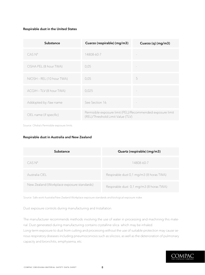#### **Respirable dust in the United States**

| Substance                 | Cuarzo (respirable) (mg/m3)                                                                     | Cuarzo (q) (mg/m3) |
|---------------------------|-------------------------------------------------------------------------------------------------|--------------------|
| $CAS\ N^{\circ}$          | 14808-60-7                                                                                      |                    |
| OSHA PEL (8 hour TWA)     | 0,05                                                                                            |                    |
| NIOSH - REL (10 hour TWA) | 0,05                                                                                            | 5                  |
| ACGIH - TLV (8 hour TWA)  | 0,025                                                                                           |                    |
| Addopted by /law name     | See Section 16                                                                                  |                    |
| OEL name (if specific)    | Permisible exposure limit (PEL)/Recommended exposure limit<br>(REL)/Threshold Limit Value (TLV) |                    |

Source: Ohsha's Permisible exposure limits

#### **Respirable dust in Australia and New Zealand**

| Substance                                  | Quartz (respirable) (mg/m3)             |
|--------------------------------------------|-----------------------------------------|
| CAS N°                                     | 14808-60-7                              |
| Australia OEL                              | Respirable dust 0,1 mg/m3 (8 horas TWA) |
| New Zealand (Workplace exposure standards) | Respirable dust 0,1 mg/m3 (8 horas TWA) |

Source: Safe work Australia/New Zealand Workplace exposure standards and biological exposure index

Dust exposure controls during manufacturing and Installation.

The manufacturer recommends methods involving the use of water in processing and machining this material. Dust generated during manufacturing contains crystalline silica which may be inhaled. Long-term exposure to dust from cutting and processing without the use of suitable protection may cause serious respiratory diseases including pneumoconiosis such as silicosis, as well as the deterioration of pulmonary capacity and bronchitis, emphysema, etc.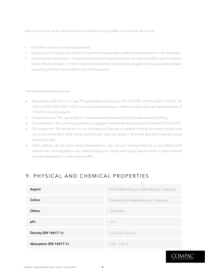Exposure to dust can be monitored and controlled using suitable control methods such as:

- Machinery and tools using wet processes.
- Natural and/or mechanical ventilation systems that guarantee suitable air renewal levels in the workplace.  $\hat{\mathbf{r}}$
- Cleaning and maintenance. Use aspiration and cleaning systems that use water. Avoid the use of compressed air, which sets dust in motion. Implement preventive maintenance programmes to guarantee suitable operating and cleaning conditions for work equipment.

Personal protective equipment.

- Respiratory potection is for type P3 particulates according to EN 143:2001 and its reviews 143/AC EN  $\blacksquare$ 2002 and EN 2005 2005143/AC, including wet processes in order to reduce dust during preparation of COMPAC quartz products.
- Hand protection. The use of gloves is recommended to avoid cutting hazards during handling.  $\mathbf{r}$
- Eye protection. The use of eye protectors or goggles is recommended pursuant to standard EN166:2001.  $\overline{a}$
- Skin protection. Skin protection is not necessary, but the use of suitable clothing to prevent contact with  $\mathbf{r}$  . skin is recommended. Wash hands and face with soap and water to eliminate dust before breaks and at the end of shifts.
- Work clothing: do not clean using compressed air. Use vacuum cleaning methods. In accordance with  $\mathbf{r}$ relevant laws and regulations, any materials failing to comply with quality specifications or reject material must be disposed of in inert waste landfills.

## 9. PHYSICAL AND CHEMICAL PROPERTIES

| Aspect                   | Solid, depending on depending on catalogue |
|--------------------------|--------------------------------------------|
| Colour                   | Depending on depending on catalogue        |
| Odour                    | Odourless                                  |
| pH:                      | N/A                                        |
| Density (EN 14617-1):    | 2250-2350 g/cm3                            |
| Absorption (EN 14617-1): | $0,04 - 0,06 \%$                           |

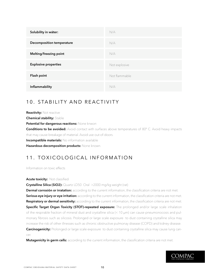| Solubility in wáter:             | N/A           |
|----------------------------------|---------------|
| <b>Decomposition temperature</b> | N/A           |
| Melting/freezing point           | N/A           |
| <b>Explosive properties</b>      | Not explosive |
| Flash point                      | Not flammable |
| Inflammability                   | N/A           |

## 10. STABILITY AND REACTIVITY

**Reactivity:** Not reactive **Chemical stability:** Stable **Potential for dangerous reactions:** None knwon **Conditions to be avoided:** Avoid contact with surfaces above temperatures of 80° C. Avoid heavy impacts that may cause breakage of material. Avoid use out-of-doors. **Incompatible materials:** No information available **Hazardous decomposition products:** None known.

## 11. TOXICOLOGICAL INFORMATION

Information on toxic effects

#### **Acute toxicity:** Not classified

**Crystalline Silica (SiO2):** Quartz LD50 Oral >2000 mg/kg weight (rat)

**Dermal corrosión or irratation:** according to the current information, the classification criteria are not met. **Serious eye injury or eye irritation:** according to the current information, the classification criteria are not met. **Respiratory or dermal sensitivity:** according to the current information, the classification criteria are not met. **Specific Target Organ Toxicity (STOT)-repeated exposure:** The prolonged and/or large scale inhalation of the respirable fraction of mineral dust and crystalline silica (< 10 μm) can cause pneumonocosis and pulmonary fibrosis such as silicosis. Prolonged or large scale exposure to dust containing crystalline silica may increase the risk of other illnesses such as chronic obstructive pulmonay disease (COPD) and kidney disease. **Carcinogenicity:** Prolonged or large scale exposure to dust containing crystalline silica may cause lung cancer.

**Mutagenicity in germ cells:** according to the current information, the classification criteria are not met.

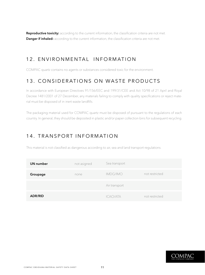Reproductive toxicity: according to the current information, the classification criteria are not met. **Danger if inhaled:** according to the current information, the classification criteria are not met.

## 12. ENVIRONMENTAL INFORMATION

COMPAC quartz contains no agents or substances considered toxic for the environment.

## 13. CONSIDERATIONS ON WASTE PRODUCTS

In accordance with European Directives 91/156/EEC and 199/31/CEE and Act 10/98 of 21 April and Royal Decree 1481/2001 of 27 December, any materials failing to comply with quality specifications or reject material must be disposed of in inert waste landfills.

The packaging material used for COMPAC quartz must be disposed of pursuant to the regulations of each country. In general, they should be deposited in plastic and/or paper collection bins for subsequent recycling.

## 14. TRANSPORT INFORMATION

This material is not classified as dangerous according to air, sea and land transport regulations.

| UN number      | not asigned | Sea transport   |                |
|----------------|-------------|-----------------|----------------|
| Groupage       | none        | <b>IMDG/IMO</b> | not restricted |
|                |             | Air transport   |                |
| <b>ADR/RID</b> |             | ICAO/ATA        | not restricted |